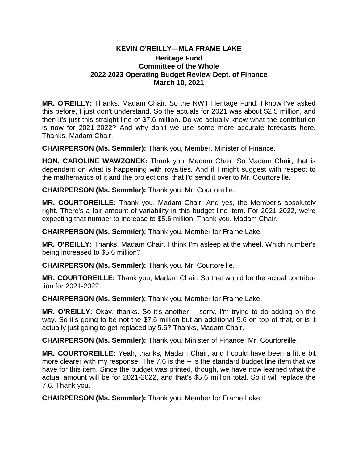## **KEVIN O**'**REILLY—MLA FRAME LAKE**

## **Heritage Fund Committee of the Whole 2022 2023 Operating Budget Review Dept. of Finance March 10, 2021**

**MR. O'REILLY:** Thanks, Madam Chair. So the NWT Heritage Fund; I know I've asked this before, I just don't understand. So the actuals for 2021 was about \$2.5 million, and then it's just this straight line of \$7.6 million. Do we actually know what the contribution is now for 2021-2022? And why don't we use some more accurate forecasts here. Thanks, Madam Chair.

**CHAIRPERSON (Ms. Semmler):** Thank you, Member. Minister of Finance.

**HON. CAROLINE WAWZONEK:** Thank you, Madam Chair. So Madam Chair, that is dependant on what is happening with royalties. And if I might suggest with respect to the mathematics of it and the projections, that I'd send it over to Mr. Courtoreille.

**CHAIRPERSON (Ms. Semmler):** Thank you. Mr. Courtoreille.

**MR. COURTOREILLE:** Thank you, Madam Chair. And yes, the Member's absolutely right. There's a fair amount of variability in this budget line item. For 2021-2022, we're expecting that number to increase to \$5.6 million. Thank you, Madam Chair.

**CHAIRPERSON (Ms. Semmler):** Thank you. Member for Frame Lake.

**MR. O'REILLY:** Thanks, Madam Chair. I think I'm asleep at the wheel. Which number's being increased to \$5.6 million?

**CHAIRPERSON (Ms. Semmler):** Thank you. Mr. Courtoreille.

**MR. COURTOREILLE:** Thank you, Madam Chair. So that would be the actual contribution for 2021-2022.

**CHAIRPERSON (Ms. Semmler):** Thank you. Member for Frame Lake.

**MR. O'REILLY:** Okay, thanks. So it's another -- sorry, I'm trying to do adding on the way. So it's going to be not the \$7.6 million but an additional 5.6 on top of that, or is it actually just going to get replaced by 5.6? Thanks, Madam Chair.

**CHAIRPERSON (Ms. Semmler):** Thank you. Minister of Finance. Mr. Courtoreille.

**MR. COURTOREILLE:** Yeah, thanks, Madam Chair, and I could have been a little bit more clearer with my response. The 7.6 is the -- is the standard budget line item that we have for this item. Since the budget was printed, though, we have now learned what the actual amount will be for 2021-2022, and that's \$5.6 million total. So it will replace the 7.6. Thank you.

**CHAIRPERSON (Ms. Semmler):** Thank you. Member for Frame Lake.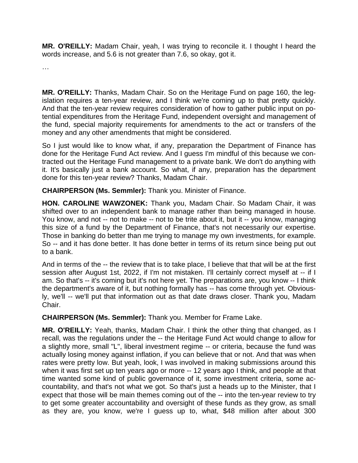**MR. O'REILLY:** Madam Chair, yeah, I was trying to reconcile it. I thought I heard the words increase, and 5.6 is not greater than 7.6, so okay, got it.

…

**MR. O'REILLY:** Thanks, Madam Chair. So on the Heritage Fund on page 160, the legislation requires a ten-year review, and I think we're coming up to that pretty quickly. And that the ten-year review requires consideration of how to gather public input on potential expenditures from the Heritage Fund, independent oversight and management of the fund, special majority requirements for amendments to the act or transfers of the money and any other amendments that might be considered.

So I just would like to know what, if any, preparation the Department of Finance has done for the Heritage Fund Act review. And I guess I'm mindful of this because we contracted out the Heritage Fund management to a private bank. We don't do anything with it. It's basically just a bank account. So what, if any, preparation has the department done for this ten-year review? Thanks, Madam Chair.

**CHAIRPERSON (Ms. Semmler):** Thank you. Minister of Finance.

**HON. CAROLINE WAWZONEK:** Thank you, Madam Chair. So Madam Chair, it was shifted over to an independent bank to manage rather than being managed in house. You know, and not -- not to make -- not to be trite about it, but it -- you know, managing this size of a fund by the Department of Finance, that's not necessarily our expertise. Those in banking do better than me trying to manage my own investments, for example. So -- and it has done better. It has done better in terms of its return since being put out to a bank.

And in terms of the -- the review that is to take place, I believe that that will be at the first session after August 1st, 2022, if I'm not mistaken. I'll certainly correct myself at -- if I am. So that's -- it's coming but it's not here yet. The preparations are, you know -- I think the department's aware of it, but nothing formally has -- has come through yet. Obviously, we'll -- we'll put that information out as that date draws closer. Thank you, Madam Chair.

**CHAIRPERSON (Ms. Semmler):** Thank you. Member for Frame Lake.

**MR. O'REILLY:** Yeah, thanks, Madam Chair. I think the other thing that changed, as I recall, was the regulations under the -- the Heritage Fund Act would change to allow for a slightly more, small "L", liberal investment regime -- or criteria, because the fund was actually losing money against inflation, if you can believe that or not. And that was when rates were pretty low. But yeah, look, I was involved in making submissions around this when it was first set up ten years ago or more -- 12 years ago I think, and people at that time wanted some kind of public governance of it, some investment criteria, some accountability, and that's not what we got. So that's just a heads up to the Minister, that I expect that those will be main themes coming out of the -- into the ten-year review to try to get some greater accountability and oversight of these funds as they grow, as small as they are, you know, we're I guess up to, what, \$48 million after about 300